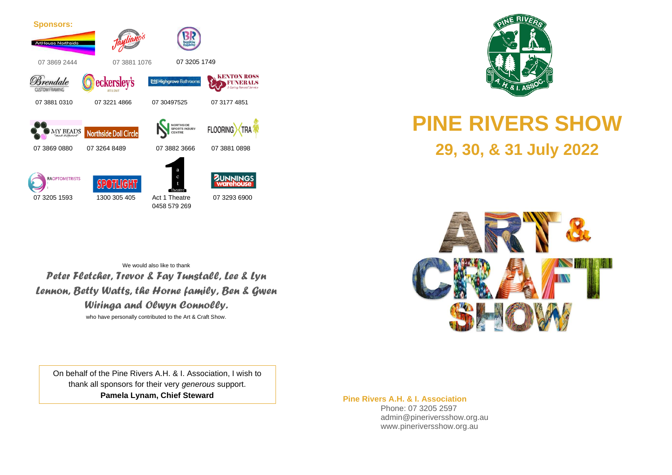



### **PINE RIVERS SHOW 29, 30, & 31 July 2022**

We would also like to thank *Peter Fletcher, Trevor & Fay Tunstall, Lee & Lyn Lennon, Betty Watts, the Horne family, Ben & Gwen Wiringa and Olwyn Connolly.* who have personally contributed to the Art & Craft Show.



On behalf of the Pine Rivers A.H. & I. Association, I wish to thank all sponsors for their very *generous* support. **Pamela Lynam, Chief Steward**

**Pine Rivers A.H. & I. Association**

 Phone: 07 3205 2597 admin@pineriversshow.org.au www.pineriversshow.org.au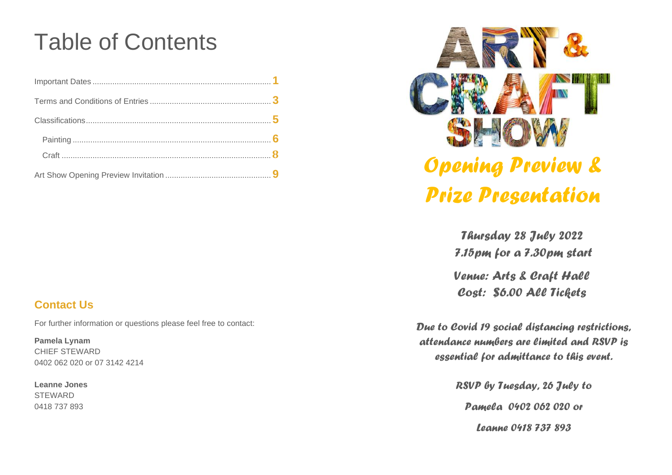### Table of Contents



### *Opening Preview & Prize Presentation*

*Thursday 28 July 2022 7.15pm for a 7.30pm start Venue: Arts & Craft Hall Cost: \$6.00 All Tickets* 

*Due to Covid 19 social distancing restrictions, attendance numbers are limited and RSVP is essential for admittance to this event.*

> *RSVP by Tuesday, 26 July to Pamela 0402 062 020 or Leanne 0418 737 893*

#### **Contact Us**

For further information or questions please feel free to contact:

**Pamela Lynam** CHIEF STEWARD 0402 062 020 or 07 3142 4214

**Leanne Jones STEWARD** 0418 737 893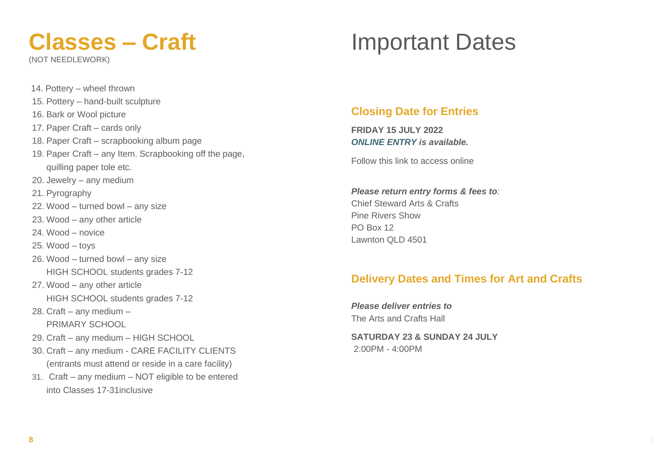# **Classes – Craft**

(NOT NEEDLEWORK)

14. Pottery – wheel thrown

16. Bark or Wool picture

15. Pottery – hand-built sculpture

### Important Dates

#### **Closing Date for Entries**

**FRIDAY 15 JULY 2022** *ONLINE ENTRY is available.*

Follow this link to access online

*Please return entry forms & fees to*: Chief Steward Arts & Crafts Pine Rivers Show PO Box 12 Lawnton QLD 4501

#### **Delivery Dates and Times for Art and Crafts**

**1**

*Please deliver entries to* The Arts and Crafts Hall

**SATURDAY 23 & SUNDAY 24 JULY**  2:00PM - 4:00PM

- 17. Paper Craft cards only 18. Paper Craft – scrapbooking album page 19. Paper Craft – any Item. Scrapbooking off the page, quilling paper tole etc. 20. Jewelry – any medium 21. Pyrography 22. Wood – turned bowl – any size 23. Wood – any other article 24. Wood – novice
- 25. Wood toys
- 26. Wood turned bowl any size HIGH SCHOOL students grades 7-12
- 27. Wood any other article HIGH SCHOOL students grades 7-12
- 28. Craft any medium PRIMARY SCHOOL
- 29. Craft any medium HIGH SCHOOL
- 30. Craft any medium CARE FACILITY CLIENTS (entrants must attend or reside in a care facility)
- 31. Craft any medium NOT eligible to be entered into Classes 17-31inclusive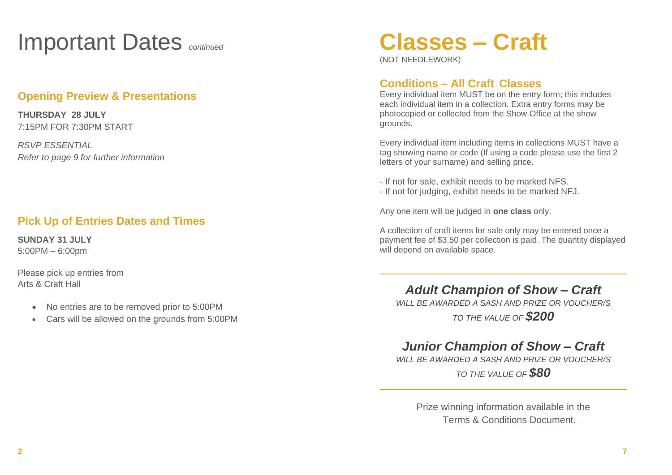### Important Dates *continued*

#### **Opening Preview & Presentations**

**THURSDAY 28 JULY** 7:15PM FOR 7:30PM START

*RSVP ESSENTIAL Refer to page 9 for further information*

#### **Pick Up of Entries Dates and Times**

**SUNDAY 31 JULY** 5:00PM – 6:00pm

Please pick up entries from Arts & Craft Hall

- No entries are to be removed prior to 5:00PM
- Cars will be allowed on the grounds from 5:00PM

### **Classes – Craft**

(NOT NEEDLEWORK)

#### **Conditions – All Craft Classes**

Every individual item MUST be on the entry form; this includes each individual item in a collection. Extra entry forms may be photocopied or collected from the Show Office at the show grounds.

Every individual item including items in collections MUST have a tag showing name or code (If using a code please use the first 2 letters of your surname) and selling price.

- If not for sale, exhibit needs to be marked NFS.
- If not for judging, exhibit needs to be marked NFJ.

Any one item will be judged in **one class** only.

A collection of craft items for sale only may be entered once a payment fee of \$3.50 per collection is paid. The quantity displayed will depend on available space.

*Adult Champion of Show – Craft*

*WILL BE AWARDED A SASH AND PRIZE OR VOUCHER/S TO THE VALUE OF \$200*

#### *Junior Champion of Show – Craft*

*WILL BE AWARDED A SASH AND PRIZE OR VOUCHER/S* 

*TO THE VALUE OF \$80*

Prize winning information available in the Terms & Conditions Document.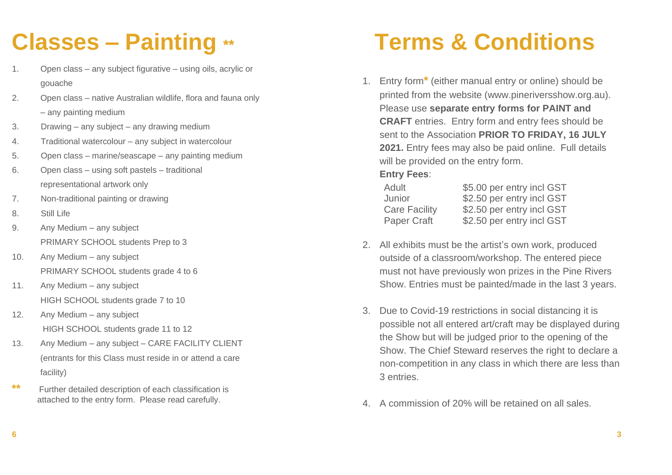## **Classes – Painting \*\***

- 1. Open class any subject figurative using oils, acrylic or gouache
- 2. Open class native Australian wildlife, flora and fauna only – any painting medium
- 3. Drawing any subject any drawing medium
- 4. Traditional watercolour any subject in watercolour
- 5. Open class marine/seascape any painting medium
- 6. Open class using soft pastels traditional representational artwork only
- 7. Non-traditional painting or drawing
- 8. Still Life
- 9. Any Medium any subject PRIMARY SCHOOL students Prep to 3
- 10. Any Medium any subject PRIMARY SCHOOL students grade 4 to 6
- 11. Any Medium any subject HIGH SCHOOL students grade 7 to 10
- 12. Any Medium any subject HIGH SCHOOL students grade 11 to 12
- 13. Any Medium any subject CARE FACILITY CLIENT (entrants for this Class must reside in or attend a care facility)
- **\*\*** Further detailed description of each classification is attached to the entry form. Please read carefully.

# **Terms & Conditions**

1. Entry form**\*** (either manual entry or online) should be printed from the website (www.pineriversshow.org.au). Please use **separate entry forms for PAINT and CRAFT** entries. Entry form and entry fees should be sent to the Association **PRIOR TO FRIDAY, 16 JULY 2021.** Entry fees may also be paid online. Full details will be provided on the entry form.

#### **Entry Fees**:

| Adult                | \$5.00 per entry incl GST |
|----------------------|---------------------------|
| Junior               | \$2.50 per entry incl GST |
| <b>Care Facility</b> | \$2.50 per entry incl GST |
| Paper Craft          | \$2.50 per entry incl GST |

- 2. All exhibits must be the artist's own work, produced outside of a classroom/workshop. The entered piece must not have previously won prizes in the Pine Rivers Show. Entries must be painted/made in the last 3 years.
- 3. Due to Covid-19 restrictions in social distancing it is possible not all entered art/craft may be displayed during the Show but will be judged prior to the opening of the Show. The Chief Steward reserves the right to declare a non-competition in any class in which there are less than 3 entries.
- 4. A commission of 20% will be retained on all sales.